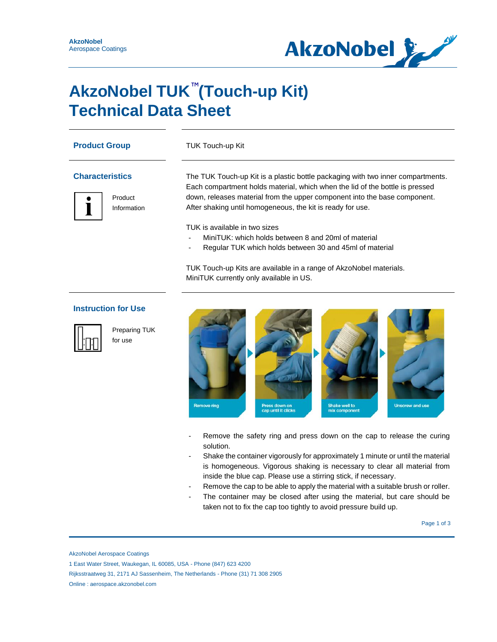

### **AkzoNobel TUK<sup>™</sup>(Touch-up Kit) Technical Data Sheet**

| <b>Product Group</b><br><b>Characteristics</b> |                            | TUK Touch-up Kit<br>The TUK Touch-up Kit is a plastic bottle packaging with two inner compartments.<br>Each compartment holds material, which when the lid of the bottle is pressed |
|------------------------------------------------|----------------------------|-------------------------------------------------------------------------------------------------------------------------------------------------------------------------------------|
|                                                |                            |                                                                                                                                                                                     |
|                                                | Information                | After shaking until homogeneous, the kit is ready for use.                                                                                                                          |
|                                                |                            | TUK is available in two sizes                                                                                                                                                       |
|                                                |                            | MiniTUK: which holds between 8 and 20ml of material                                                                                                                                 |
|                                                |                            | Regular TUK which holds between 30 and 45ml of material                                                                                                                             |
|                                                |                            | TUK Touch-up Kits are available in a range of AkzoNobel materials.                                                                                                                  |
|                                                |                            | MiniTUK currently only available in US.                                                                                                                                             |
|                                                | <b>Instruction for Use</b> |                                                                                                                                                                                     |



Preparing TUK for use



- Remove the safety ring and press down on the cap to release the curing solution.
- Shake the container vigorously for approximately 1 minute or until the material is homogeneous. Vigorous shaking is necessary to clear all material from inside the blue cap. Please use a stirring stick, if necessary.
- Remove the cap to be able to apply the material with a suitable brush or roller.
- The container may be closed after using the material, but care should be taken not to fix the cap too tightly to avoid pressure build up.

Page 1 of 3  $\sim$  9  $\sim$  9  $\sim$  9  $\sim$  9  $\sim$  9  $\sim$  9  $\sim$  9  $\sim$  9  $\sim$  9  $\sim$  9  $\sim$  9  $\sim$  9  $\sim$  9  $\sim$  9  $\sim$  9  $\sim$  9  $\sim$  9  $\sim$  9  $\sim$  9  $\sim$  9  $\sim$  9  $\sim$  9  $\sim$  9  $\sim$  9  $\sim$  9  $\sim$  9  $\sim$  9  $\sim$  9  $\sim$  9  $\sim$  9

AkzoNobel Aerospace Coatings

Rijksstraatweg 31, 2171 AJ Sassenheim, The Netherlands - Phone (31) 71 308 2905

Online : aerospace.akzonobel.com

<sup>1</sup> East Water Street, Waukegan, IL 60085, USA - Phone (847) 623 4200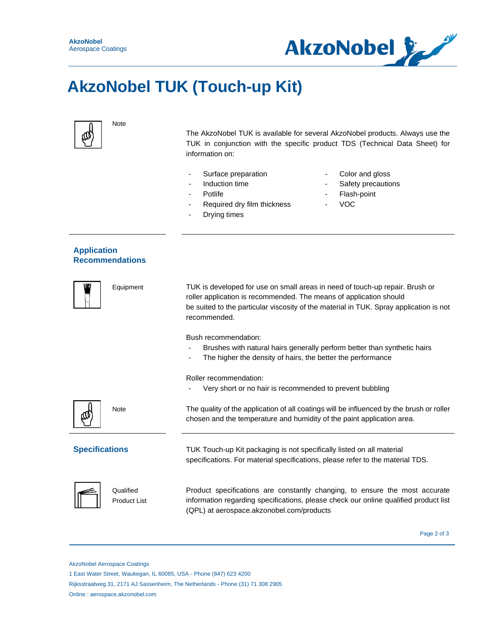

# **AkzoNobel TUK (Touch-up Kit)**



Note

The AkzoNobel TUK is available for several AkzoNobel products. Always use the TUK in conjunction with the specific product TDS (Technical Data Sheet) for information on:

- Surface preparation
- Induction time
- Potlife
- Required dry film thickness
- Drying times
- Color and gloss
- Safety precautions
- Flash-point
- VOC

### **Application Recommendations**

|                       | Equipment                        | TUK is developed for use on small areas in need of touch-up repair. Brush or<br>roller application is recommended. The means of application should<br>be suited to the particular viscosity of the material in TUK. Spray application is not<br>recommended. |
|-----------------------|----------------------------------|--------------------------------------------------------------------------------------------------------------------------------------------------------------------------------------------------------------------------------------------------------------|
|                       |                                  | Bush recommendation:<br>Brushes with natural hairs generally perform better than synthetic hairs<br>The higher the density of hairs, the better the performance                                                                                              |
|                       |                                  | Roller recommendation:<br>Very short or no hair is recommended to prevent bubbling                                                                                                                                                                           |
|                       | Note                             | The quality of the application of all coatings will be influenced by the brush or roller<br>chosen and the temperature and humidity of the paint application area.                                                                                           |
| <b>Specifications</b> |                                  | TUK Touch-up Kit packaging is not specifically listed on all material<br>specifications. For material specifications, please refer to the material TDS.                                                                                                      |
|                       | Qualified<br><b>Product List</b> | Product specifications are constantly changing, to ensure the most accurate<br>information regarding specifications, please check our online qualified product list<br>(QPL) at aerospace.akzonobel.com/products                                             |

Page 2 of 3

AkzoNobel Aerospace Coatings

1 East Water Street, Waukegan, IL 60085, USA - Phone (847) 623 4200

Rijksstraatweg 31, 2171 AJ Sassenheim, The Netherlands - Phone (31) 71 308 2905

Online : aerospace.akzonobel.com